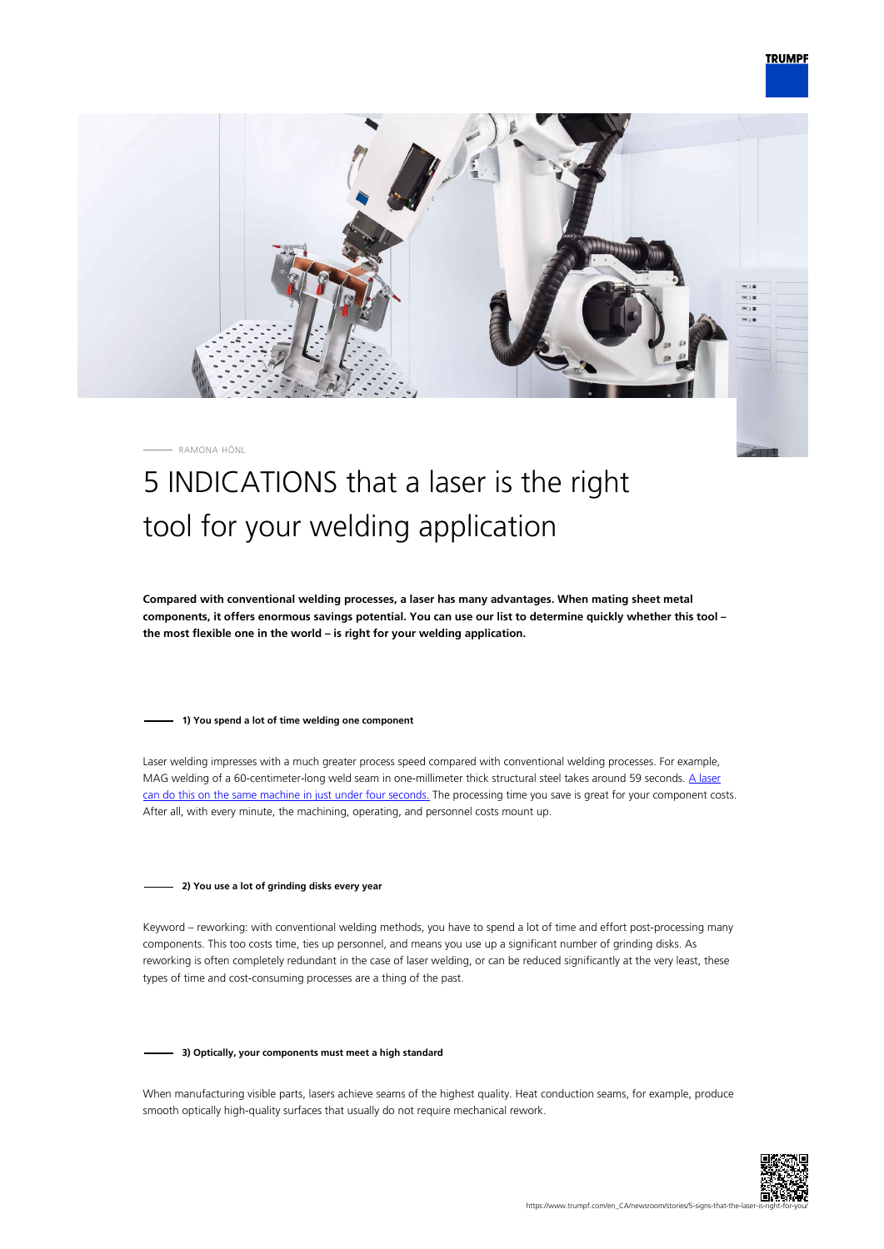# **TRUMPF**



#### RAMONA HÖNL

# 5 INDICATIONS that a laser is the right tool for your welding application

**Compared with conventional welding processes, a laser has many advantages. When mating sheet metal components, it offers enormous savings potential. You can use our list to determine quickly whether this tool – the most flexible one in the world – is right for your welding application.**

#### **1) You spend a lot of time welding one component**

Laser welding impresses with a much greater process speed compared with conventional welding processes. For example, MAG welding of a 60-centimeter-long weld seam in one-millimeter thick structural steel takes around 59 seconds. [A laser](https://www.youtube.com/watch?v=GFrfXVtZ3OE) [can do this on the same machine in just under four seconds.](https://www.youtube.com/watch?v=GFrfXVtZ3OE) The processing time you save is great for your component costs. After all, with every minute, the machining, operating, and personnel costs mount up.

#### **2) You use a lot of grinding disks every year**

Keyword – reworking: with conventional welding methods, you have to spend a lot of time and effort post-processing many components. This too costs time, ties up personnel, and means you use up a significant number of grinding disks. As reworking is often completely redundant in the case of laser welding, or can be reduced significantly at the very least, these types of time and cost-consuming processes are a thing of the past.

#### **3) Optically, your components must meet a high standard**

When manufacturing visible parts, lasers achieve seams of the highest quality. Heat conduction seams, for example, produce smooth optically high-quality surfaces that usually do not require mechanical rework.